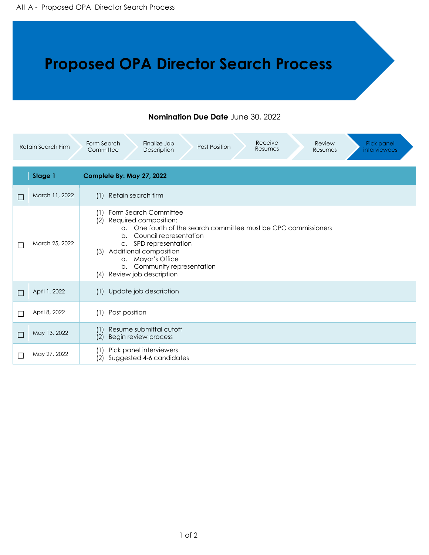## **Proposed OPA Director Search Process**

## **Nomination Due Date** June 30, 2022

| Receive<br>Review<br>Form Search<br>Finalize Job<br>Pick panel<br><b>Retain Search Firm</b><br>Post Position<br>Resumes<br>Committee<br>Description<br><i>interviewees</i><br>Resumes |                |                                                                                                                                                                                                                                                                                                                           |  |  |
|---------------------------------------------------------------------------------------------------------------------------------------------------------------------------------------|----------------|---------------------------------------------------------------------------------------------------------------------------------------------------------------------------------------------------------------------------------------------------------------------------------------------------------------------------|--|--|
|                                                                                                                                                                                       | Stage 1        | Complete By: May 27, 2022                                                                                                                                                                                                                                                                                                 |  |  |
|                                                                                                                                                                                       | March 11, 2022 | Retain search firm<br>(1)                                                                                                                                                                                                                                                                                                 |  |  |
|                                                                                                                                                                                       | March 25, 2022 | Form Search Committee<br>(1)<br>Required composition:<br>(2)<br>One fourth of the search committee must be CPC commissioners<br>$\alpha$ .<br>Council representation<br>b.<br>c. SPD representation<br>Additional composition<br>(3)<br>a. Mayor's Office<br>b. Community representation<br>Review job description<br>(4) |  |  |
|                                                                                                                                                                                       | April 1, 2022  | Update job description<br>(1)                                                                                                                                                                                                                                                                                             |  |  |
|                                                                                                                                                                                       | April 8, 2022  | Post position<br>(1)                                                                                                                                                                                                                                                                                                      |  |  |
|                                                                                                                                                                                       | May 13, 2022   | Resume submittal cutoff<br>(1)<br>(2)<br>Begin review process                                                                                                                                                                                                                                                             |  |  |
|                                                                                                                                                                                       | May 27, 2022   | Pick panel interviewers<br>(1)<br>Suggested 4-6 candidates<br>(2)                                                                                                                                                                                                                                                         |  |  |